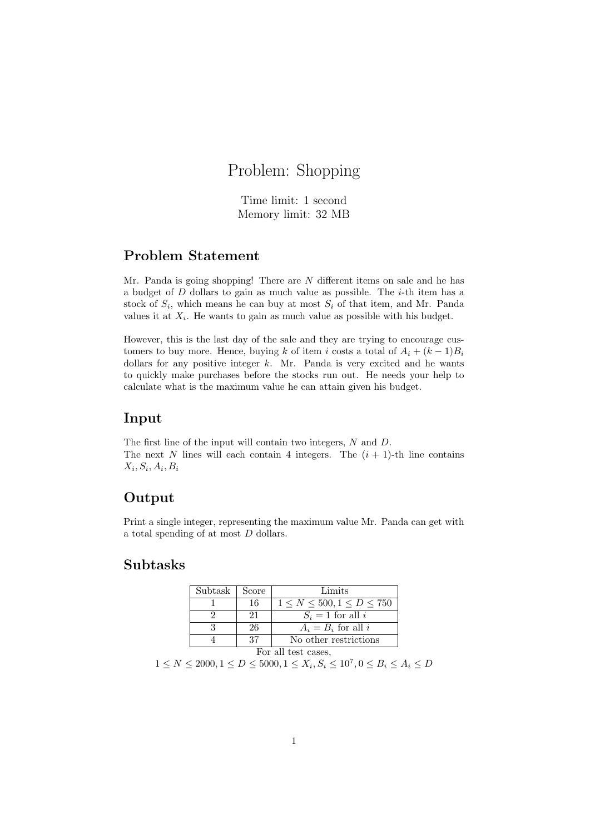# Problem: Shopping

Time limit: 1 second Memory limit: 32 MB

#### Problem Statement

Mr. Panda is going shopping! There are N different items on sale and he has a budget of  $D$  dollars to gain as much value as possible. The  $i$ -th item has a stock of  $S_i$ , which means he can buy at most  $S_i$  of that item, and Mr. Panda values it at  $X_i$ . He wants to gain as much value as possible with his budget.

However, this is the last day of the sale and they are trying to encourage customers to buy more. Hence, buying k of item i costs a total of  $A_i + (k-1)B_i$ dollars for any positive integer  $k$ . Mr. Panda is very excited and he wants to quickly make purchases before the stocks run out. He needs your help to calculate what is the maximum value he can attain given his budget.

#### Input

The first line of the input will contain two integers, N and D. The next N lines will each contain 4 integers. The  $(i + 1)$ -th line contains  $X_i, S_i, A_i, B_i$ 

#### Output

Print a single integer, representing the maximum value Mr. Panda can get with a total spending of at most D dollars.

#### Subtasks

| Subtask             | Score | Limits                             |
|---------------------|-------|------------------------------------|
|                     | -16   | $1 \le N \le 500, 1 \le D \le 750$ |
|                     | 21    | $S_i = 1$ for all i                |
|                     | 26    | $A_i = B_i$ for all i              |
|                     | 37    | No other restrictions              |
| For all test cases, |       |                                    |

 $1 \le N \le 2000, 1 \le D \le 5000, 1 \le X_i, S_i \le 10^7, 0 \le B_i \le A_i \le D$